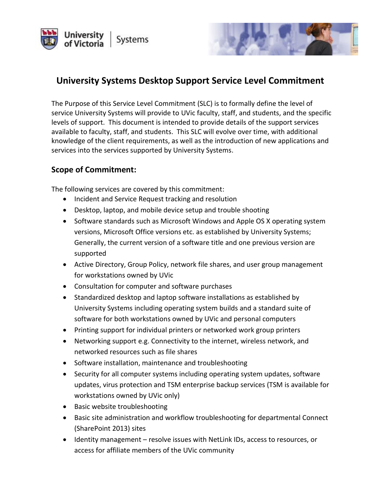



# **University Systems Desktop Support Service Level Commitment**

The Purpose of this Service Level Commitment (SLC) is to formally define the level of service University Systems will provide to UVic faculty, staff, and students, and the specific levels of support. This document is intended to provide details of the support services available to faculty, staff, and students. This SLC will evolve over time, with additional knowledge of the client requirements, as well as the introduction of new applications and services into the services supported by University Systems.

#### **Scope of Commitment:**

The following services are covered by this commitment:

- Incident and Service Request tracking and resolution
- Desktop, laptop, and mobile device setup and trouble shooting
- Software standards such as Microsoft Windows and Apple OS X operating system versions, Microsoft Office versions etc. as established by University Systems; Generally, the current version of a software title and one previous version are supported
- Active Directory, Group Policy, network file shares, and user group management for workstations owned by UVic
- Consultation for computer and software purchases
- Standardized desktop and laptop software installations as established by University Systems including operating system builds and a standard suite of software for both workstations owned by UVic and personal computers
- Printing support for individual printers or networked work group printers
- Networking support e.g. Connectivity to the internet, wireless network, and networked resources such as file shares
- Software installation, maintenance and troubleshooting
- Security for all computer systems including operating system updates, software updates, virus protection and TSM enterprise backup services (TSM is available for workstations owned by UVic only)
- Basic website troubleshooting
- Basic site administration and workflow troubleshooting for departmental Connect (SharePoint 2013) sites
- Identity management resolve issues with NetLink IDs, access to resources, or access for affiliate members of the UVic community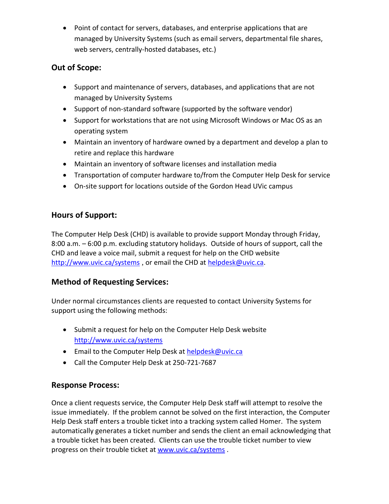Point of contact for servers, databases, and enterprise applications that are managed by University Systems (such as email servers, departmental file shares, web servers, centrally-hosted databases, etc.)

#### **Out of Scope:**

- Support and maintenance of servers, databases, and applications that are not managed by University Systems
- Support of non-standard software (supported by the software vendor)
- Support for workstations that are not using Microsoft Windows or Mac OS as an operating system
- Maintain an inventory of hardware owned by a department and develop a plan to retire and replace this hardware
- Maintain an inventory of software licenses and installation media
- Transportation of computer hardware to/from the Computer Help Desk for service
- On-site support for locations outside of the Gordon Head UVic campus

## **Hours of Support:**

The Computer Help Desk (CHD) is available to provide support Monday through Friday, 8:00 a.m. – 6:00 p.m. excluding statutory holidays. Outside of hours of support, call the CHD and leave a voice mail, submit a request for help on the CHD website <http://www.uvic.ca/systems>, or email the CHD at [helpdesk@uvic.ca.](mailto:helpdesk@uvic.ca)

#### **Method of Requesting Services:**

Under normal circumstances clients are requested to contact University Systems for support using the following methods:

- Submit a request for help on the Computer Help Desk website <http://www.uvic.ca/systems>
- **Email to the Computer Help Desk at [helpdesk@uvic.ca](mailto:helpdesk@uvic.ca)**
- Call the Computer Help Desk at 250-721-7687

#### **Response Process:**

Once a client requests service, the Computer Help Desk staff will attempt to resolve the issue immediately. If the problem cannot be solved on the first interaction, the Computer Help Desk staff enters a trouble ticket into a tracking system called Homer. The system automatically generates a ticket number and sends the client an email acknowledging that a trouble ticket has been created. Clients can use the trouble ticket number to view progress on their trouble ticket at [www.uvic.ca/systems](http://www.uvic.ca/systems) .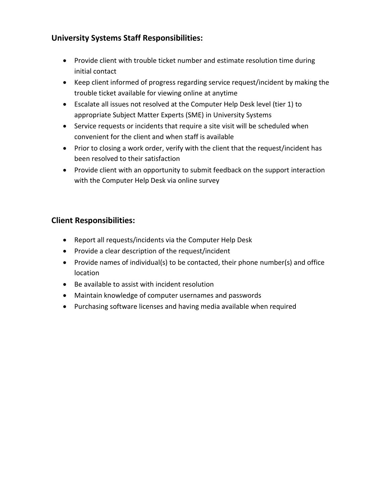### **University Systems Staff Responsibilities:**

- Provide client with trouble ticket number and estimate resolution time during initial contact
- Keep client informed of progress regarding service request/incident by making the trouble ticket available for viewing online at anytime
- Escalate all issues not resolved at the Computer Help Desk level (tier 1) to appropriate Subject Matter Experts (SME) in University Systems
- Service requests or incidents that require a site visit will be scheduled when convenient for the client and when staff is available
- Prior to closing a work order, verify with the client that the request/incident has been resolved to their satisfaction
- Provide client with an opportunity to submit feedback on the support interaction with the Computer Help Desk via online survey

#### **Client Responsibilities:**

- Report all requests/incidents via the Computer Help Desk
- Provide a clear description of the request/incident
- Provide names of individual(s) to be contacted, their phone number(s) and office location
- Be available to assist with incident resolution
- Maintain knowledge of computer usernames and passwords
- Purchasing software licenses and having media available when required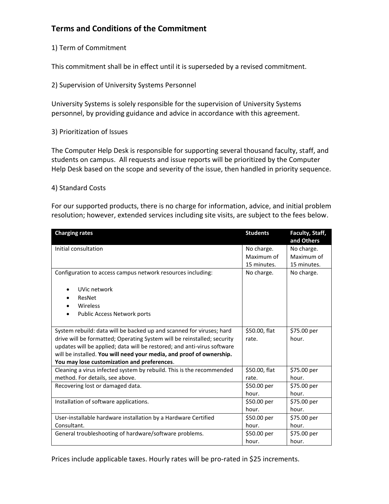## **Terms and Conditions of the Commitment**

#### 1) Term of Commitment

This commitment shall be in effect until it is superseded by a revised commitment.

2) Supervision of University Systems Personnel

University Systems is solely responsible for the supervision of University Systems personnel, by providing guidance and advice in accordance with this agreement.

3) Prioritization of Issues

The Computer Help Desk is responsible for supporting several thousand faculty, staff, and students on campus. All requests and issue reports will be prioritized by the Computer Help Desk based on the scope and severity of the issue, then handled in priority sequence.

#### 4) Standard Costs

For our supported products, there is no charge for information, advice, and initial problem resolution; however, extended services including site visits, are subject to the fees below.

| <b>Charging rates</b>                                                   | <b>Students</b> | Faculty, Staff,<br>and Others |
|-------------------------------------------------------------------------|-----------------|-------------------------------|
| Initial consultation                                                    | No charge.      | No charge.                    |
|                                                                         | Maximum of      | Maximum of                    |
|                                                                         | 15 minutes.     | 15 minutes.                   |
| Configuration to access campus network resources including:             | No charge.      | No charge.                    |
| UVic network                                                            |                 |                               |
| ResNet                                                                  |                 |                               |
| Wireless                                                                |                 |                               |
| Public Access Network ports<br>٠                                        |                 |                               |
|                                                                         |                 |                               |
| System rebuild: data will be backed up and scanned for viruses; hard    | \$50.00, flat   | \$75.00 per                   |
| drive will be formatted; Operating System will be reinstalled; security | rate.           | hour.                         |
| updates will be applied; data will be restored; and anti-virus software |                 |                               |
| will be installed. You will need your media, and proof of ownership.    |                 |                               |
| You may lose customization and preferences.                             |                 |                               |
| Cleaning a virus infected system by rebuild. This is the recommended    | \$50.00, flat   | \$75.00 per                   |
| method. For details, see above.                                         | rate.           | hour.                         |
| Recovering lost or damaged data.                                        | \$50.00 per     | \$75.00 per                   |
|                                                                         | hour.           | hour.                         |
| Installation of software applications.                                  | \$50.00 per     | \$75.00 per                   |
|                                                                         | hour.           | hour.                         |
| User-installable hardware installation by a Hardware Certified          | \$50.00 per     | \$75.00 per                   |
| Consultant.                                                             | hour.           | hour.                         |
| General troubleshooting of hardware/software problems.                  | \$50.00 per     | \$75.00 per                   |
|                                                                         | hour.           | hour.                         |

Prices include applicable taxes. Hourly rates will be pro-rated in \$25 increments.